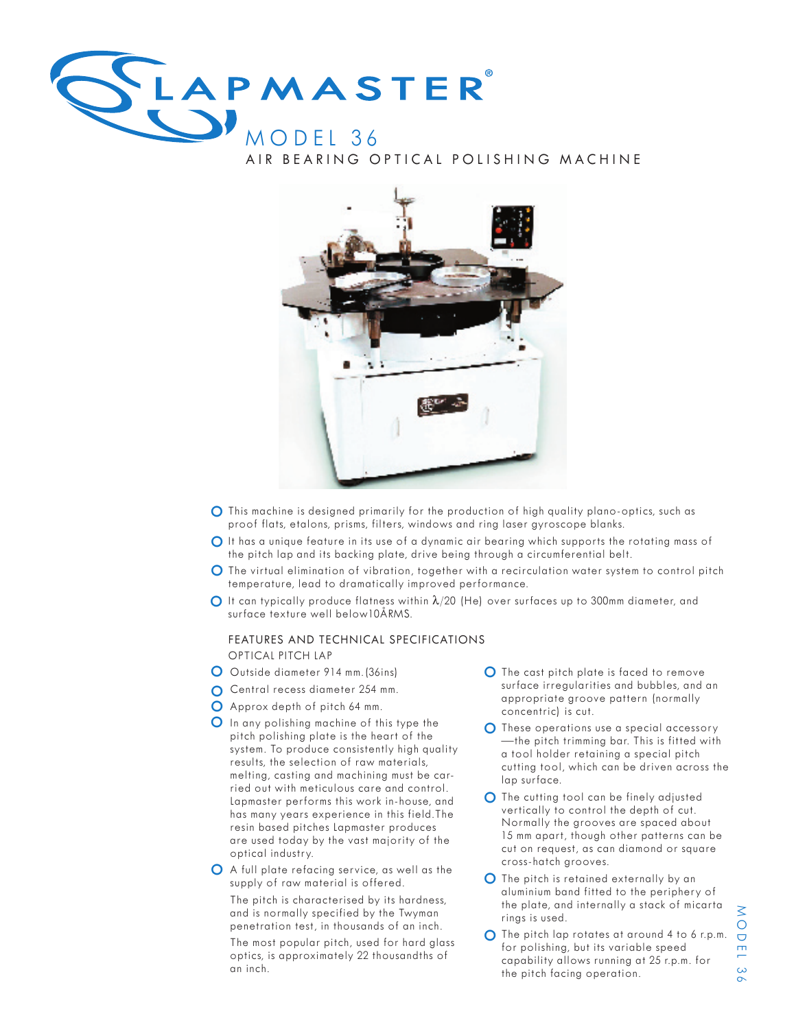

AIR BEARING OPTICAL POLISHING MACHINE



- This machine is designed primarily for the production of high quality plano-optics, such as o proof flats, etalons, prisms, filters, windows and ring laser gyroscope blanks.
- O It has a unique feature in its use of a dynamic air bearing which supports the rotating mass of the pitch lap and its backing plate, drive being through a circumferential belt.
- O The virtual elimination of vibration, together with a recirculation water system to control pitch temperature, lead to dramatically improved performance.
- It can typically produce flatness within λ/20 (He) over surfaces up to 300mm diameter, and surface texture well below10ÅRMS.

#### FEATURES AND TECHNICAL SPECIFICATIONS OPTICAL PITCH LAP

- O Outside diameter 914 mm. (36ins)
- o Central recess diameter 254 mm.
- O Approx depth of pitch 64 mm.
- O Approx depin of prich of this type the<br>O In any polishing machine of this type the pitch polishing plate is the heart of the system. To produce consistently high quality results, the selection of raw materials, melting, casting and machining must be carried out with meticulous care and control. Lapmaster performs this work in-house, and has many years experience in this field.The resin based pitches Lapmaster produces are used today by the vast majority of the optical industry.
- o A full plate refacing service, as well as the supply of raw material is offered. The pitch is characterised by its hardness, and is normally specified by the Twyman penetration test, in thousands of an inch.
	- The most popular pitch, used for hard glass optics, is approximately 22 thousandths of an inch.
- O The cast pitch plate is faced to remove surface irregularities and bubbles, and an appropriate groove pattern (normally concentric) is cut.
- O These operations use a special accessory —the pitch trimming bar. This is fitted with a tool holder retaining a special pitch cutting tool, which can be driven across the lap surface.
- $\bullet$  The cutting tool can be finely adjusted<br>  $\bullet$  section that control the denth of extreme vertically to control the depth of cut. Normally the grooves are spaced about 15 mm apart, though other patterns can be cut on request, as can diamond or square cross-hatch grooves.
- **O** The pitch is retained externally by an aluminium band fitted to the periphery of the plate, and internally a stack of micarta rings is used.
- O The pitch lap rotates at around 4 to 6 r.p.m. for polishing, but its variable speed capability allows running at 25 r.p.m. for the pitch facing operation.

 O D E L $\ddot{\circ}$  $\sigma$ 

 $\overline{\leq}$